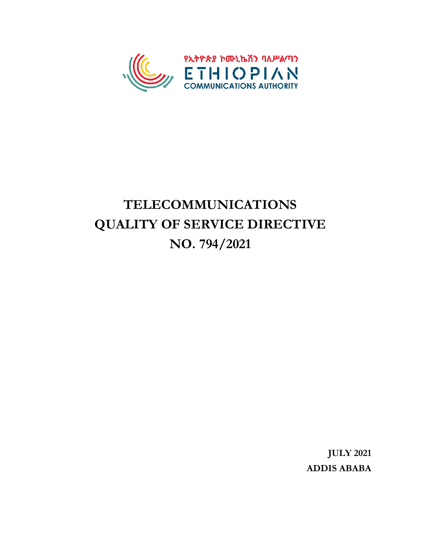

# **TELECOMMUNICATIONS QUALITY OF SERVICE DIRECTIVE NO. 794/2021**

**JULY 2021 ADDIS ABABA**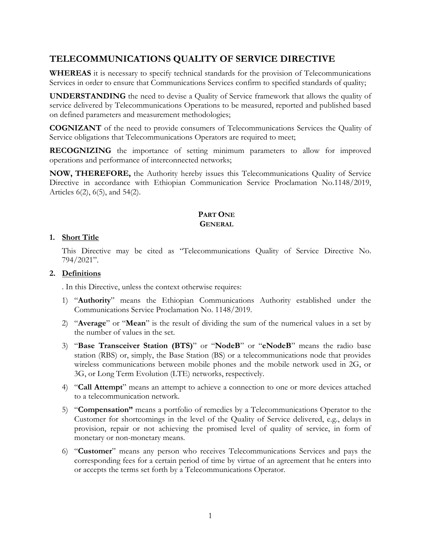# **TELECOMMUNICATIONS QUALITY OF SERVICE DIRECTIVE**

**WHEREAS** it is necessary to specify technical standards for the provision of Telecommunications Services in order to ensure that Communications Services confirm to specified standards of quality;

**UNDERSTANDING** the need to devise a Quality of Service framework that allows the quality of service delivered by Telecommunications Operations to be measured, reported and published based on defined parameters and measurement methodologies;

**COGNIZANT** of the need to provide consumers of Telecommunications Services the Quality of Service obligations that Telecommunications Operators are required to meet;

**RECOGNIZING** the importance of setting minimum parameters to allow for improved operations and performance of interconnected networks;

**NOW, THEREFORE,** the Authority hereby issues this Telecommunications Quality of Service Directive in accordance with Ethiopian Communication Service Proclamation No.1148/2019, Articles 6(2), 6(5), and 54(2).

### **PART ONE GENERAL**

#### **1. Short Title**

This Directive may be cited as "Telecommunications Quality of Service Directive No. 794/2021".

#### **2. Definitions**

. In this Directive, unless the context otherwise requires:

- 1) "**Authority**" means the Ethiopian Communications Authority established under the Communications Service Proclamation No. 1148/2019.
- 2) "**Average**" or "**Mean**" is the result of dividing the sum of the numerical values in a set by the number of values in the set.
- 3) "**Base Transceiver Station (BTS)**" or "**NodeB**" or "**eNodeB**" means the radio base station (RBS) or, simply, the Base Station (BS) or a telecommunications node that provides wireless communications between mobile phones and the mobile network used in 2G, or 3G, or Long Term Evolution (LTE) networks, respectively.
- 4) "**Call Attempt**" means an attempt to achieve a connection to one or more devices attached to a telecommunication network.
- 5) "**Compensation"** means a portfolio of remedies by a Telecommunications Operator to the Customer for shortcomings in the level of the Quality of Service delivered, e.g., delays in provision, repair or not achieving the promised level of quality of service, in form of monetary or non-monetary means.
- 6) "**Customer**" means any person who receives Telecommunications Services and pays the corresponding fees for a certain period of time by virtue of an agreement that he enters into or accepts the terms set forth by a Telecommunications Operator.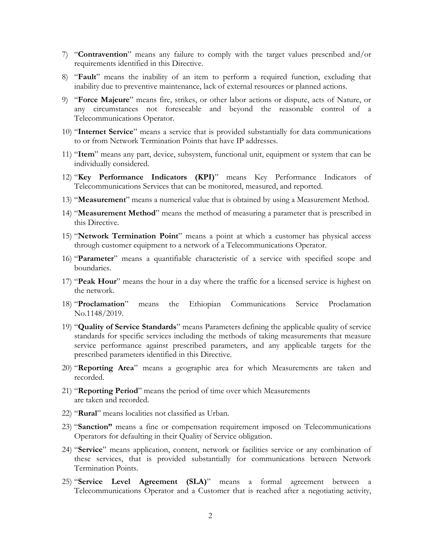- 7) "**Contravention**" means any failure to comply with the target values prescribed and/or requirements identified in this Directive.
- 8) "**Fault**" means the inability of an item to perform a required function, excluding that inability due to preventive maintenance, lack of external resources or planned actions.
- 9) "**Force Majeure**" means fire, strikes, or other labor actions or dispute, acts of Nature, or any circumstances not foreseeable and beyond the reasonable control of a Telecommunications Operator.
- 10) "**Internet Service**" means a service that is provided substantially for data communications to or from Network Termination Points that have IP addresses.
- 11) "**Item**" means any part, device, subsystem, functional unit, equipment or system that can be individually considered.
- 12) "**Key Performance Indicators (KPI)**" means Key Performance Indicators of Telecommunications Services that can be monitored, measured, and reported.
- 13) "**Measurement**" means a numerical value that is obtained by using a Measurement Method.
- 14) "**Measurement Method**" means the method of measuring a parameter that is prescribed in this Directive.
- 15) "**Network Termination Point**" means a point at which a customer has physical access through customer equipment to a network of a Telecommunications Operator.
- 16) "**Parameter**" means a quantifiable characteristic of a service with specified scope and boundaries.
- 17) "**Peak Hour**" means the hour in a day where the traffic for a licensed service is highest on the network.
- 18) "**Proclamation**" means the Ethiopian Communications Service Proclamation No.1148/2019.
- 19) "**Quality of Service Standards**" means Parameters defining the applicable quality of service standards for specific services including the methods of taking measurements that measure service performance against prescribed parameters, and any applicable targets for the prescribed parameters identified in this Directive.
- 20) "**Reporting Area**" means a geographic area for which Measurements are taken and recorded.
- 21) "**Reporting Period**" means the period of time over which Measurements are taken and recorded.
- 22) "**Rural**" means localities not classified as Urban.
- 23) "**Sanction"** means a fine or compensation requirement imposed on Telecommunications Operators for defaulting in their Quality of Service obligation.
- 24) "**Service**" means application, content, network or facilities service or any combination of these services, that is provided substantially for communications between Network Termination Points.
- 25) "**Service Level Agreement (SLA)**" means a formal agreement between a Telecommunications Operator and a Customer that is reached after a negotiating activity,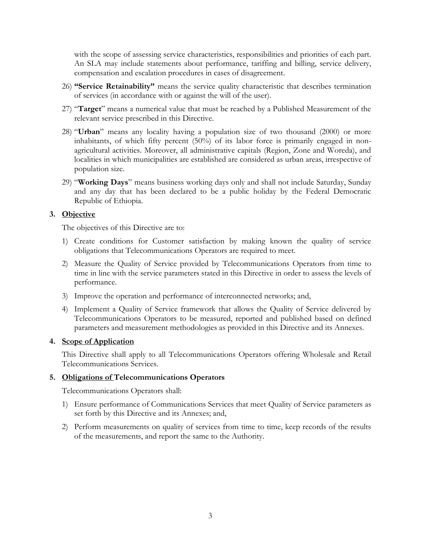with the scope of assessing service characteristics, responsibilities and priorities of each part. An SLA may include statements about performance, tariffing and billing, service delivery, compensation and escalation procedures in cases of disagreement.

- 26) **"Service Retainability"** means the service quality characteristic that describes termination of services (in accordance with or against the will of the user).
- 27) "**Target**" means a numerical value that must be reached by a Published Measurement of the relevant service prescribed in this Directive.
- 28) "**Urban**" means any locality having a population size of two thousand (2000) or more inhabitants, of which fifty percent (50%) of its labor force is primarily engaged in nonagricultural activities. Moreover, all administrative capitals (Region, Zone and Woreda), and localities in which municipalities are established are considered as urban areas, irrespective of population size.
- 29) "**Working Days**" means business working days only and shall not include Saturday, Sunday and any day that has been declared to be a public holiday by the Federal Democratic Republic of Ethiopia.

# **3. Objective**

The objectives of this Directive are to:

- 1) Create conditions for Customer satisfaction by making known the quality of service obligations that Telecommunications Operators are required to meet.
- 2) Measure the Quality of Service provided by Telecommunications Operators from time to time in line with the service parameters stated in this Directive in order to assess the levels of performance.
- 3) Improve the operation and performance of interconnected networks; and,
- 4) Implement a Quality of Service framework that allows the Quality of Service delivered by Telecommunications Operators to be measured, reported and published based on defined parameters and measurement methodologies as provided in this Directive and its Annexes.

### **4. Scope of Application**

This Directive shall apply to all Telecommunications Operators offering Wholesale and Retail Telecommunications Services.

### **5. Obligations of Telecommunications Operators**

Telecommunications Operators shall:

- 1) Ensure performance of Communications Services that meet Quality of Service parameters as set forth by this Directive and its Annexes; and,
- 2) Perform measurements on quality of services from time to time, keep records of the results of the measurements, and report the same to the Authority.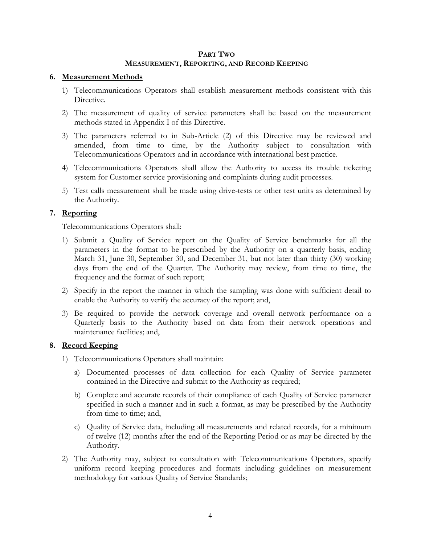#### **PART TWO MEASUREMENT, REPORTING, AND RECORD KEEPING**

#### **6. Measurement Methods**

- 1) Telecommunications Operators shall establish measurement methods consistent with this Directive.
- 2) The measurement of quality of service parameters shall be based on the measurement methods stated in Appendix I of this Directive.
- 3) The parameters referred to in Sub-Article (2) of this Directive may be reviewed and amended, from time to time, by the Authority subject to consultation with Telecommunications Operators and in accordance with international best practice.
- 4) Telecommunications Operators shall allow the Authority to access its trouble ticketing system for Customer service provisioning and complaints during audit processes.
- 5) Test calls measurement shall be made using drive-tests or other test units as determined by the Authority.

### **7. Reporting**

Telecommunications Operators shall:

- 1) Submit a Quality of Service report on the Quality of Service benchmarks for all the parameters in the format to be prescribed by the Authority on a quarterly basis, ending March 31, June 30, September 30, and December 31, but not later than thirty (30) working days from the end of the Quarter. The Authority may review, from time to time, the frequency and the format of such report;
- 2) Specify in the report the manner in which the sampling was done with sufficient detail to enable the Authority to verify the accuracy of the report; and,
- 3) Be required to provide the network coverage and overall network performance on a Quarterly basis to the Authority based on data from their network operations and maintenance facilities; and,

### **8. Record Keeping**

- 1) Telecommunications Operators shall maintain:
	- a) Documented processes of data collection for each Quality of Service parameter contained in the Directive and submit to the Authority as required;
	- b) Complete and accurate records of their compliance of each Quality of Service parameter specified in such a manner and in such a format, as may be prescribed by the Authority from time to time; and,
	- c) Quality of Service data, including all measurements and related records, for a minimum of twelve (12) months after the end of the Reporting Period or as may be directed by the Authority.
- 2) The Authority may, subject to consultation with Telecommunications Operators, specify uniform record keeping procedures and formats including guidelines on measurement methodology for various Quality of Service Standards;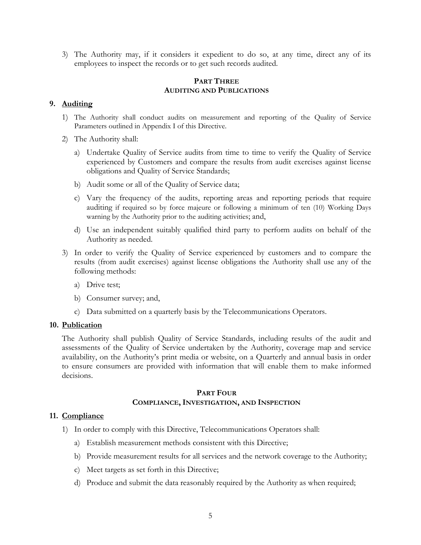3) The Authority may, if it considers it expedient to do so, at any time, direct any of its employees to inspect the records or to get such records audited.

#### **PART THREE AUDITING AND PUBLICATIONS**

# **9. Auditing**

- 1) The Authority shall conduct audits on measurement and reporting of the Quality of Service Parameters outlined in Appendix I of this Directive.
- 2) The Authority shall:
	- a) Undertake Quality of Service audits from time to time to verify the Quality of Service experienced by Customers and compare the results from audit exercises against license obligations and Quality of Service Standards;
	- b) Audit some or all of the Quality of Service data;
	- c) Vary the frequency of the audits, reporting areas and reporting periods that require auditing if required so by force majeure or following a minimum of ten (10) Working Days warning by the Authority prior to the auditing activities; and,
	- d) Use an independent suitably qualified third party to perform audits on behalf of the Authority as needed.
- 3) In order to verify the Quality of Service experienced by customers and to compare the results (from audit exercises) against license obligations the Authority shall use any of the following methods:
	- a) Drive test;
	- b) Consumer survey; and,
	- c) Data submitted on a quarterly basis by the Telecommunications Operators.

#### **10. Publication**

The Authority shall publish Quality of Service Standards, including results of the audit and assessments of the Quality of Service undertaken by the Authority, coverage map and service availability, on the Authority's print media or website, on a Quarterly and annual basis in order to ensure consumers are provided with information that will enable them to make informed decisions.

### **PART FOUR COMPLIANCE, INVESTIGATION, AND INSPECTION**

### **11. Compliance**

- 1) In order to comply with this Directive, Telecommunications Operators shall:
	- a) Establish measurement methods consistent with this Directive;
	- b) Provide measurement results for all services and the network coverage to the Authority;
	- c) Meet targets as set forth in this Directive;
	- d) Produce and submit the data reasonably required by the Authority as when required;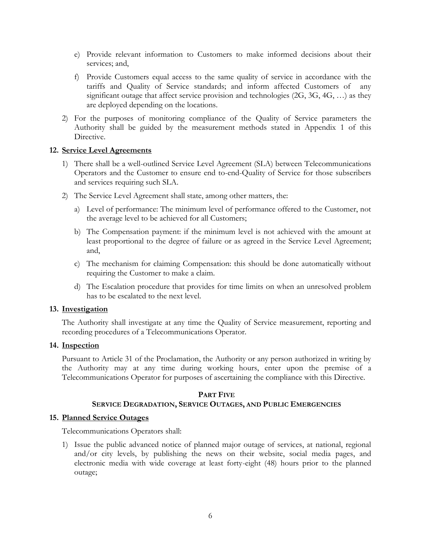- e) Provide relevant information to Customers to make informed decisions about their services; and,
- f) Provide Customers equal access to the same quality of service in accordance with the tariffs and Quality of Service standards; and inform affected Customers of any significant outage that affect service provision and technologies (2G, 3G, 4G, …) as they are deployed depending on the locations.
- 2) For the purposes of monitoring compliance of the Quality of Service parameters the Authority shall be guided by the measurement methods stated in Appendix 1 of this Directive.

### **12. Service Level Agreements**

- 1) There shall be a well-outlined Service Level Agreement (SLA) between Telecommunications Operators and the Customer to ensure end to-end-Quality of Service for those subscribers and services requiring such SLA.
- 2) The Service Level Agreement shall state, among other matters, the:
	- a) Level of performance: The minimum level of performance offered to the Customer, not the average level to be achieved for all Customers;
	- b) The Compensation payment: if the minimum level is not achieved with the amount at least proportional to the degree of failure or as agreed in the Service Level Agreement; and,
	- c) The mechanism for claiming Compensation: this should be done automatically without requiring the Customer to make a claim.
	- d) The Escalation procedure that provides for time limits on when an unresolved problem has to be escalated to the next level.

#### **13. Investigation**

The Authority shall investigate at any time the Quality of Service measurement, reporting and recording procedures of a Telecommunications Operator.

#### **14. Inspection**

Pursuant to Article 31 of the Proclamation, the Authority or any person authorized in writing by the Authority may at any time during working hours, enter upon the premise of a Telecommunications Operator for purposes of ascertaining the compliance with this Directive.

#### **PART FIVE**

#### **SERVICE DEGRADATION, SERVICE OUTAGES, AND PUBLIC EMERGENCIES**

#### **15. Planned Service Outages**

Telecommunications Operators shall:

1) Issue the public advanced notice of planned major outage of services, at national, regional and/or city levels, by publishing the news on their website, social media pages, and electronic media with wide coverage at least forty-eight (48) hours prior to the planned outage;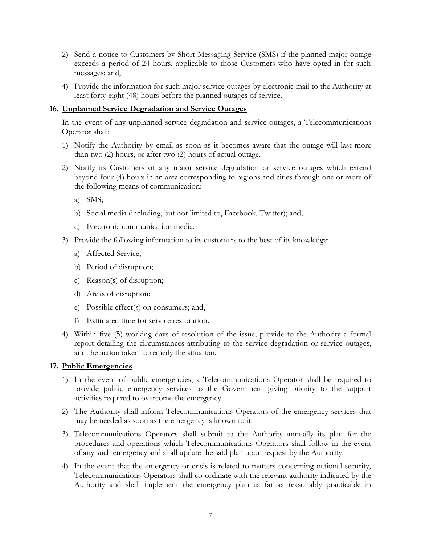- 2) Send a notice to Customers by Short Messaging Service (SMS) if the planned major outage exceeds a period of 24 hours, applicable to those Customers who have opted in for such messages; and,
- 4) Provide the information for such major service outages by electronic mail to the Authority at least forty-eight (48) hours before the planned outages of service.

# **16. Unplanned Service Degradation and Service Outages**

In the event of any unplanned service degradation and service outages, a Telecommunications Operator shall:

- 1) Notify the Authority by email as soon as it becomes aware that the outage will last more than two (2) hours, or after two (2) hours of actual outage.
- 2) Notify its Customers of any major service degradation or service outages which extend beyond four (4) hours in an area corresponding to regions and cities through one or more of the following means of communication:
	- a) SMS;
	- b) Social media (including, but not limited to, Facebook, Twitter); and,
	- c) Electronic communication media.
- 3) Provide the following information to its customers to the best of its knowledge:
	- a) Affected Service;
	- b) Period of disruption;
	- c) Reason(s) of disruption;
	- d) Areas of disruption;
	- e) Possible effect(s) on consumers; and,
	- f) Estimated time for service restoration.
- 4) Within five (5) working days of resolution of the issue, provide to the Authority a formal report detailing the circumstances attributing to the service degradation or service outages, and the action taken to remedy the situation.

### **17. Public Emergencies**

- 1) In the event of public emergencies, a Telecommunications Operator shall be required to provide public emergency services to the Government giving priority to the support activities required to overcome the emergency.
- 2) The Authority shall inform Telecommunications Operators of the emergency services that may be needed as soon as the emergency is known to it.
- 3) Telecommunications Operators shall submit to the Authority annually its plan for the procedures and operations which Telecommunications Operators shall follow in the event of any such emergency and shall update the said plan upon request by the Authority.
- 4) In the event that the emergency or crisis is related to matters concerning national security, Telecommunications Operators shall co-ordinate with the relevant authority indicated by the Authority and shall implement the emergency plan as far as reasonably practicable in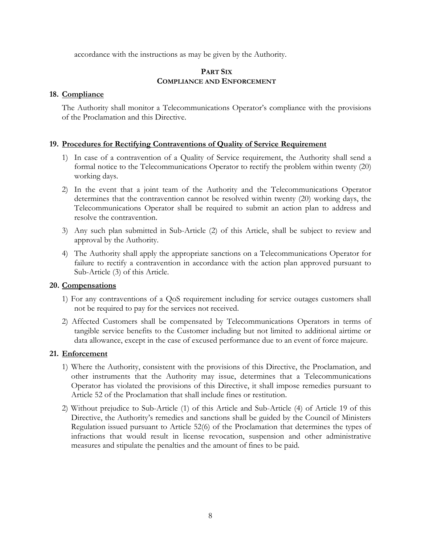accordance with the instructions as may be given by the Authority.

### **PART SIX COMPLIANCE AND ENFORCEMENT**

# **18. Compliance**

The Authority shall monitor a Telecommunications Operator's compliance with the provisions of the Proclamation and this Directive.

### **19. Procedures for Rectifying Contraventions of Quality of Service Requirement**

- 1) In case of a contravention of a Quality of Service requirement, the Authority shall send a formal notice to the Telecommunications Operator to rectify the problem within twenty (20) working days.
- 2) In the event that a joint team of the Authority and the Telecommunications Operator determines that the contravention cannot be resolved within twenty (20) working days, the Telecommunications Operator shall be required to submit an action plan to address and resolve the contravention.
- 3) Any such plan submitted in Sub-Article (2) of this Article, shall be subject to review and approval by the Authority.
- 4) The Authority shall apply the appropriate sanctions on a Telecommunications Operator for failure to rectify a contravention in accordance with the action plan approved pursuant to Sub-Article (3) of this Article.

### **20. Compensations**

- 1) For any contraventions of a QoS requirement including for service outages customers shall not be required to pay for the services not received.
- 2) Affected Customers shall be compensated by Telecommunications Operators in terms of tangible service benefits to the Customer including but not limited to additional airtime or data allowance, except in the case of excused performance due to an event of force majeure.

### **21. Enforcement**

- 1) Where the Authority, consistent with the provisions of this Directive, the Proclamation, and other instruments that the Authority may issue, determines that a Telecommunications Operator has violated the provisions of this Directive, it shall impose remedies pursuant to Article 52 of the Proclamation that shall include fines or restitution.
- 2) Without prejudice to Sub-Article (1) of this Article and Sub-Article (4) of Article 19 of this Directive, the Authority's remedies and sanctions shall be guided by the Council of Ministers Regulation issued pursuant to Article 52(6) of the Proclamation that determines the types of infractions that would result in license revocation, suspension and other administrative measures and stipulate the penalties and the amount of fines to be paid.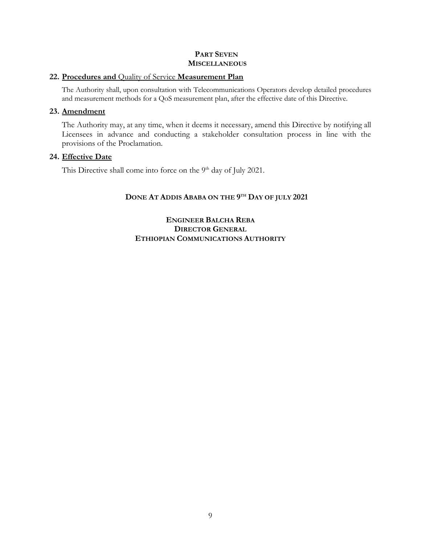# **PART SEVEN MISCELLANEOUS**

#### **22. Procedures and** Quality of Service **Measurement Plan**

The Authority shall, upon consultation with Telecommunications Operators develop detailed procedures and measurement methods for a QoS measurement plan, after the effective date of this Directive.

#### **23. Amendment**

The Authority may, at any time, when it deems it necessary, amend this Directive by notifying all Licensees in advance and conducting a stakeholder consultation process in line with the provisions of the Proclamation.

### **24. Effective Date**

This Directive shall come into force on the 9<sup>th</sup> day of July 2021.

# **DONE AT ADDIS ABABA ON THE 9 TH DAY OF JULY 2021**

**ENGINEER BALCHA REBA DIRECTOR GENERAL ETHIOPIAN COMMUNICATIONS AUTHORITY**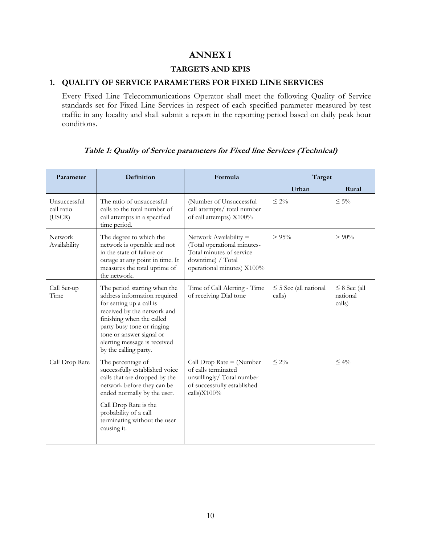# **ANNEX I**

# **TARGETS AND KPIS**

### **1. QUALITY OF SERVICE PARAMETERS FOR FIXED LINE SERVICES**

Every Fixed Line Telecommunications Operator shall meet the following Quality of Service standards set for Fixed Line Services in respect of each specified parameter measured by test traffic in any locality and shall submit a report in the reporting period based on daily peak hour conditions.

| Parameter                            | Definition                                                                                                                                                                                                                                                              | Formula                                                                                                                                | Target                               |                                         |
|--------------------------------------|-------------------------------------------------------------------------------------------------------------------------------------------------------------------------------------------------------------------------------------------------------------------------|----------------------------------------------------------------------------------------------------------------------------------------|--------------------------------------|-----------------------------------------|
|                                      |                                                                                                                                                                                                                                                                         |                                                                                                                                        | Urban                                | Rural                                   |
| Unsuccessful<br>call ratio<br>(USCR) | The ratio of unsuccessful<br>calls to the total number of<br>call attempts in a specified<br>time period.                                                                                                                                                               | (Number of Unsuccessful<br>call attempts/ total number<br>of call attempts) X100%                                                      | $\leq 2\%$                           | $\leq 5\%$                              |
| <b>Network</b><br>Availability       | The degree to which the<br>network is operable and not<br>in the state of failure or<br>outage at any point in time. It<br>measures the total uptime of<br>the network.                                                                                                 | Network Availability $=$<br>(Total operational minutes-<br>Total minutes of service<br>downtime) / Total<br>operational minutes) X100% | $> 95\%$                             | $> 90\%$                                |
| Call Set-up<br>Time                  | The period starting when the<br>address information required<br>for setting up a call is<br>received by the network and<br>finishing when the called<br>party busy tone or ringing<br>tone or answer signal or<br>alerting message is received<br>by the calling party. | Time of Call Alerting - Time<br>of receiving Dial tone                                                                                 | $\leq$ 5 Sec (all national<br>calls) | $\leq$ 8 Sec (all<br>national<br>calls) |
| Call Drop Rate                       | The percentage of<br>successfully established voice<br>calls that are dropped by the<br>network before they can be<br>ended normally by the user.<br>Call Drop Rate is the<br>probability of a call<br>terminating without the user<br>causing it.                      | Call Drop Rate $=$ (Number<br>of calls terminated<br>unwillingly/Total number<br>of successfully established<br>calls)X100%            | $\leq 2\%$                           | $< 4\%$                                 |

### **Table 1: Quality of Service parameters for Fixed line Services (Technical)**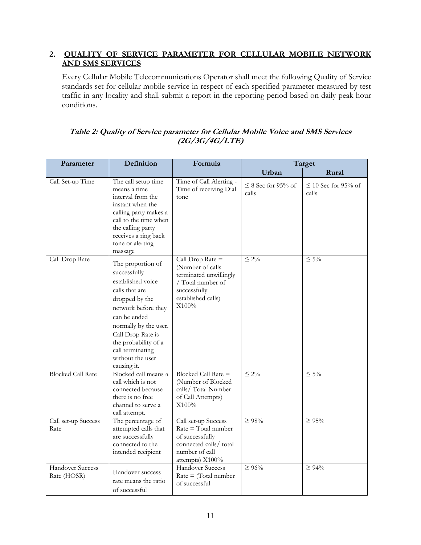# **2. QUALITY OF SERVICE PARAMETER FOR CELLULAR MOBILE NETWORK AND SMS SERVICES**

Every Cellular Mobile Telecommunications Operator shall meet the following Quality of Service standards set for cellular mobile service in respect of each specified parameter measured by test traffic in any locality and shall submit a report in the reporting period based on daily peak hour conditions.

| Parameter                       | Definition                                                                                                                                                                                                                                                     | Formula                                                                                                                              |                                  | Target                            |
|---------------------------------|----------------------------------------------------------------------------------------------------------------------------------------------------------------------------------------------------------------------------------------------------------------|--------------------------------------------------------------------------------------------------------------------------------------|----------------------------------|-----------------------------------|
|                                 |                                                                                                                                                                                                                                                                |                                                                                                                                      | Urban                            | Rural                             |
| Call Set-up Time                | The call setup time<br>means a time<br>interval from the<br>instant when the<br>calling party makes a<br>call to the time when<br>the calling party<br>receives a ring back<br>tone or alerting<br>massage                                                     | Time of Call Alerting -<br>Time of receiving Dial<br>tone                                                                            | $\leq$ 8 Sec for 95% of<br>calls | $\leq$ 10 Sec for 95% of<br>calls |
| Call Drop Rate                  | The proportion of<br>successfully<br>established voice<br>calls that are<br>dropped by the<br>network before they<br>can be ended<br>normally by the user.<br>Call Drop Rate is<br>the probability of a<br>call terminating<br>without the user<br>causing it. | Call Drop Rate $=$<br>(Number of calls<br>terminated unwillingly<br>/ Total number of<br>successfully<br>established calls)<br>X100% | $\leq 2\%$                       | $\leq 5\%$                        |
| <b>Blocked Call Rate</b>        | Blocked call means a<br>call which is not<br>connected because<br>there is no free<br>channel to serve a<br>call attempt.                                                                                                                                      | Blocked Call Rate =<br>(Number of Blocked<br>calls/Total Number<br>of Call Attempts)<br>X100%                                        | $\leq 2\%$                       | $\leq 5\%$                        |
| Call set-up Success<br>Rate     | The percentage of<br>attempted calls that<br>are successfully<br>connected to the<br>intended recipient                                                                                                                                                        | Call set-up Success<br>$Rate = Total number$<br>of successfully<br>connected calls/ total<br>number of call<br>attempts) X100%       | $\geq 98\%$                      | $\geq 95\%$                       |
| Handover Success<br>Rate (HOSR) | Handover success<br>rate means the ratio<br>of successful                                                                                                                                                                                                      | <b>Handover Success</b><br>$Rate = (Total number)$<br>of successful                                                                  | $\geq 96\%$                      | $\geq 94\%$                       |

# **Table 2: Quality of Service parameter for Cellular Mobile Voice and SMS Services (2G/3G/4G/LTE)**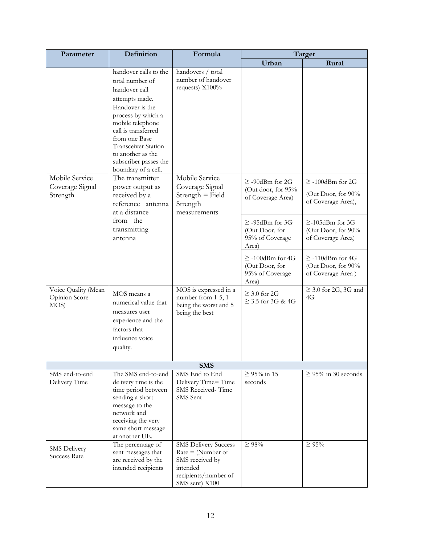| Parameter                                      | Definition                                                                                                                                                                                                                                                                          | Formula                                                                                                                     | Target                                                              |                                                                   |
|------------------------------------------------|-------------------------------------------------------------------------------------------------------------------------------------------------------------------------------------------------------------------------------------------------------------------------------------|-----------------------------------------------------------------------------------------------------------------------------|---------------------------------------------------------------------|-------------------------------------------------------------------|
|                                                |                                                                                                                                                                                                                                                                                     |                                                                                                                             | Urban                                                               | Rural                                                             |
|                                                | handover calls to the<br>total number of<br>handover call<br>attempts made.<br>Handover is the<br>process by which a<br>mobile telephone<br>call is transferred<br>from one Base<br><b>Transceiver Station</b><br>to another as the<br>subscriber passes the<br>boundary of a cell. | handovers / total<br>number of handover<br>requests) X100%                                                                  |                                                                     |                                                                   |
| Mobile Service<br>Coverage Signal<br>Strength  | The transmitter<br>power output as<br>received by a<br>reference antenna<br>at a distance                                                                                                                                                                                           | Mobile Service<br>Coverage Signal<br>$Streamgth = Field$<br>Strength<br>measurements                                        | $\geq$ -90dBm for 2G<br>(Out door, for 95%<br>of Coverage Area)     | $\geq$ -100dBm for 2G<br>(Out Door, for 90%<br>of Coverage Area), |
|                                                | from the<br>transmitting<br>antenna                                                                                                                                                                                                                                                 |                                                                                                                             | $\geq$ -95dBm for 3G<br>(Out Door, for<br>95% of Coverage<br>Area)  | $\geq$ -105dBm for 3G<br>(Out Door, for 90%<br>of Coverage Area)  |
|                                                |                                                                                                                                                                                                                                                                                     |                                                                                                                             | $\geq$ -100dBm for 4G<br>(Out Door, for<br>95% of Coverage<br>Area) | $\geq$ -110dBm for 4G<br>(Out Door, for 90%<br>of Coverage Area)  |
| Voice Quality (Mean<br>Opinion Score -<br>MOS) | MOS means a<br>numerical value that<br>measures user<br>experience and the<br>factors that<br>influence voice<br>quality.                                                                                                                                                           | MOS is expressed in a<br>number from 1-5, 1<br>being the worst and 5<br>being the best                                      | $\geq$ 3.0 for 2G<br>$\geq$ 3.5 for 3G & 4G                         | $\geq$ 3.0 for 2G, 3G and<br>4G                                   |
|                                                |                                                                                                                                                                                                                                                                                     | <b>SMS</b>                                                                                                                  |                                                                     |                                                                   |
| SMS end-to-end<br>Delivery Time                | The SMS end-to-end<br>delivery time is the<br>time period between<br>sending a short<br>message to the<br>network and<br>receiving the very<br>same short message<br>at another UE.                                                                                                 | SMS End to End<br>Delivery Time= Time<br>SMS Received-Time<br>SMS Sent                                                      | $≥ 95%$ in 15<br>seconds                                            | $\geq$ 95% in 30 seconds                                          |
| SMS Delivery<br><b>Success Rate</b>            | The percentage of<br>sent messages that<br>are received by the<br>intended recipients                                                                                                                                                                                               | <b>SMS Delivery Success</b><br>$Rate = (Number of$<br>SMS received by<br>intended<br>recipients/number of<br>SMS sent) X100 | $\geq 98\%$                                                         | $\geq 95\%$                                                       |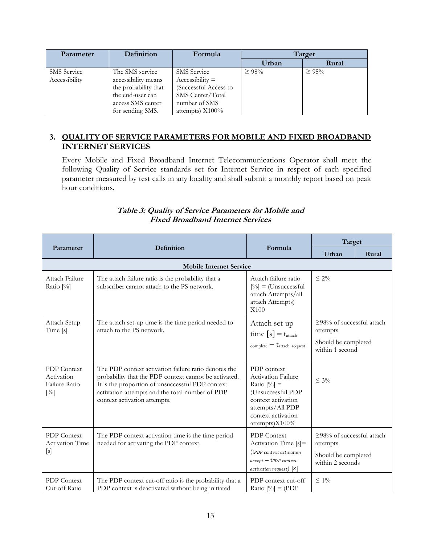| Parameter          | Definition           | Formula               | Target      |          |
|--------------------|----------------------|-----------------------|-------------|----------|
|                    |                      |                       | Urban       | Rural    |
| <b>SMS</b> Service | The SMS service      | <b>SMS</b> Service    | $\geq 98\%$ | $> 95\%$ |
| Accessibility      | accessibility means  | $Accessibility =$     |             |          |
|                    | the probability that | (Successful Access to |             |          |
|                    | the end-user can     | SMS Center/Total      |             |          |
|                    | access SMS center    | number of SMS         |             |          |
|                    | for sending SMS.     | attempts) $X100\%$    |             |          |

# **3. QUALITY OF SERVICE PARAMETERS FOR MOBILE AND FIXED BROADBAND INTERNET SERVICES**

Every Mobile and Fixed Broadband Internet Telecommunications Operator shall meet the following Quality of Service standards set for Internet Service in respect of each specified parameter measured by test calls in any locality and shall submit a monthly report based on peak hour conditions.

# **Table 3: Quality of Service Parameters for Mobile and Fixed Broadband Internet Services**

|                                                             |                                                                                                                                                                                                                                                      |                                                                                                                                                           | Target                                                                                 |       |
|-------------------------------------------------------------|------------------------------------------------------------------------------------------------------------------------------------------------------------------------------------------------------------------------------------------------------|-----------------------------------------------------------------------------------------------------------------------------------------------------------|----------------------------------------------------------------------------------------|-------|
| Parameter                                                   | Definition                                                                                                                                                                                                                                           | Formula                                                                                                                                                   | Urban                                                                                  | Rural |
|                                                             | <b>Mobile Internet Service</b>                                                                                                                                                                                                                       |                                                                                                                                                           |                                                                                        |       |
| Attach Failure<br>Ratio $[\%]$                              | The attach failure ratio is the probability that a<br>subscriber cannot attach to the PS network.                                                                                                                                                    | Attach failure ratio<br>$[\%]$ = (Unsuccessful<br>attach Attempts/all<br>attach Attempts)<br>X100                                                         | $\leq 2\%$                                                                             |       |
| Attach Setup<br>Time [s]                                    | The attach set-up time is the time period needed to<br>attach to the PS network.                                                                                                                                                                     | Attach set-up<br>time $[s] = t_{\text{attack}}$<br>$_{complete} - t_{attack}$ request                                                                     | $\geq$ 98% of successful attach<br>attempts<br>Should be completed<br>within 1 second  |       |
| <b>PDP</b> Context<br>Activation<br>Failure Ratio<br>$[\%]$ | The PDP context activation failure ratio denotes the<br>probability that the PDP context cannot be activated.<br>It is the proportion of unsuccessful PDP context<br>activation attempts and the total number of PDP<br>context activation attempts. | PDP context<br>Activation Failure<br>Ratio $[%]$ =<br>(Unsuccessful PDP<br>context activation<br>attempts/All PDP<br>context activation<br>attempts)X100% | $\leq 3\%$                                                                             |       |
| <b>PDP</b> Context<br><b>Activation Time</b><br>[s]         | The PDP context activation time is the time period<br>needed for activating the PDP context.                                                                                                                                                         | <b>PDP</b> Context<br>Activation Time $[s]$ =<br>(tPDP context activation<br>$accept - tPDP context$<br>$activation$ request) $[S]$                       | $\geq$ 98% of successful attach<br>attempts<br>Should be completed<br>within 2 seconds |       |
| <b>PDP</b> Context<br>Cut-off Ratio                         | The PDP context cut-off ratio is the probability that a<br>PDP context is deactivated without being initiated                                                                                                                                        | PDP context cut-off<br>Ratio $[%]$ = (PDP                                                                                                                 | $\leq 1\%$                                                                             |       |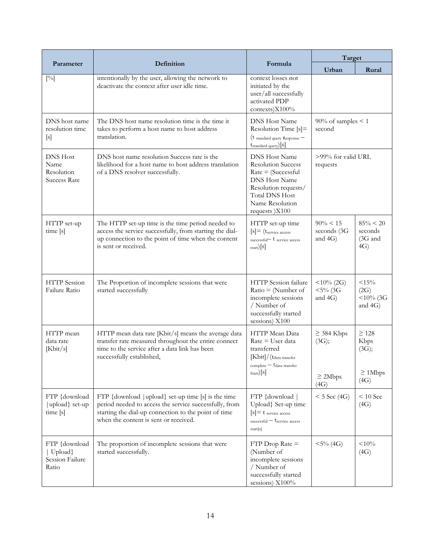|                                                              |                                                                                                                                                                                                                |                                                                                                                                                                                                               | Target                                    |                                                     |
|--------------------------------------------------------------|----------------------------------------------------------------------------------------------------------------------------------------------------------------------------------------------------------------|---------------------------------------------------------------------------------------------------------------------------------------------------------------------------------------------------------------|-------------------------------------------|-----------------------------------------------------|
| Parameter                                                    | Definition                                                                                                                                                                                                     | Formula                                                                                                                                                                                                       | Urban                                     | Rural                                               |
| $[\%]$                                                       | intentionally by the user, allowing the network to<br>deactivate the context after user idle time.                                                                                                             | context losses not<br>initiated by the<br>user/all successfully<br>activated PDP<br>contexts)X100%                                                                                                            |                                           |                                                     |
| DNS host name<br>resolution time<br>[s]                      | The DNS host name resolution time is the time it<br>takes to perform a host name to host address<br>translation.                                                                                               | <b>DNS Host Name</b><br>Resolution Time [s]=<br>(t standard query Response -<br>$t_{\text{standard query}}[s]$                                                                                                | $90\%$ of samples < 1<br>second           |                                                     |
| <b>DNS</b> Host<br>Name<br>Resolution<br><b>Success Rate</b> | DNS host name resolution Success rate is the<br>likelihood for a host name to host address translation<br>of a DNS resolver successfully.                                                                      | <b>DNS Host Name</b><br><b>Resolution Success</b><br>$Rate = (Successful)$<br><b>DNS Host Name</b><br>Resolution requests/<br><b>Total DNS Host</b><br>Name Resolution<br>requests )X100                      | >99% for valid URL<br>requests            |                                                     |
| HTTP set-up<br>time [s]                                      | The HTTP set-up time is the time period needed to<br>access the service successfully, from starting the dial-<br>up connection to the point of time when the content<br>is sent or received.                   | HTTP set-up time<br>$[s] = (t_{\text{service access}})$<br>successful $-t$ service access<br>$_{\text{start}})[s]$                                                                                            | $90\% < 15$<br>seconds (3G<br>and 4G)     | $85\% < 20$<br>seconds<br>$(3G \text{ and }$<br>4G) |
| <b>HTTP</b> Session<br>Failure Ratio                         | The Proportion of incomplete sessions that were<br>started successfully                                                                                                                                        | HTTP Session failure<br>$Ratio = (Number of)$<br>incomplete sessions<br>/ Number of<br>successfully started<br>sessions) X100                                                                                 | $<$ 10% (2G)<br>$< 5\%$ (3G<br>and $4G$ ) | <15%<br>(2G)<br>$<$ 10% (3G<br>and $4G$ )           |
| HTTP mean<br>data rate<br>[Kbit/s]                           | HTTP mean data rate [Kbit/s] means the average data<br>transfer rate measured throughout the entire connect<br>time to the service after a data link has been<br>successfully established,                     | HTTP Mean Data<br>Rate = User data<br>transferred<br>$[\mathrm{Kbit}]/(\mathrm{t}_{\mathrm{data\ transfer}})$<br>$\epsilon$ complete $-$ t <sub>data transfer</sub><br>$\text{Start}$ $\left[\text{S}\right]$ | $\geq$ 384 Kbps<br>(3G);<br>$\geq$ 2Mbps  | $\geq$ 128<br>Kbps<br>(3G);<br>$\geq 1$ Mbps        |
|                                                              |                                                                                                                                                                                                                |                                                                                                                                                                                                               | (4G)                                      | (4G)                                                |
| FTP {download<br>  upload} set-up<br>time [s]                | FTP {download   upload} set-up time [s] is the time<br>period needed to access the service successfully, from<br>starting the dial-up connection to the point of time<br>when the content is sent or received. | FTP {download<br>Upload} Set-up time<br>$[s]$ = t service access<br>successful $-t$ service access<br>start[s]                                                                                                | $<$ 5 Sec (4G)                            | $< 10$ Sec<br>(4G)                                  |
| FTP {download<br>Upload}<br>Session Failure<br>Ratio         | The proportion of incomplete sessions that were<br>started successfully.                                                                                                                                       | $FTP$ Drop Rate $=$<br>(Number of<br>incomplete sessions<br>/ Number of<br>successfully started<br>sessions) X100%                                                                                            | $< 5\%$ (4G)                              | $<$ 10%<br>(4G)                                     |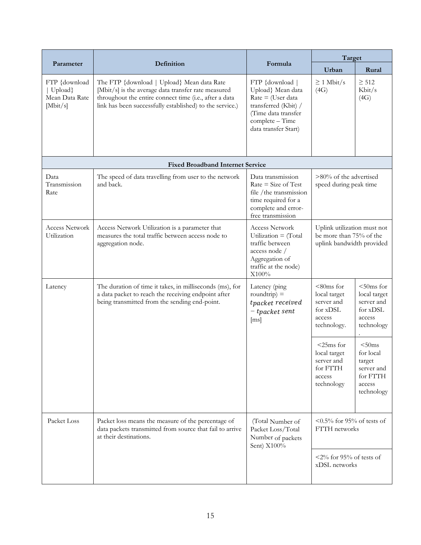|                                                        |                                                                                                                                                                                                                         |                                                                                                                                                        | Target                                                                              |                                                                                 |
|--------------------------------------------------------|-------------------------------------------------------------------------------------------------------------------------------------------------------------------------------------------------------------------------|--------------------------------------------------------------------------------------------------------------------------------------------------------|-------------------------------------------------------------------------------------|---------------------------------------------------------------------------------|
| Parameter                                              | Definition                                                                                                                                                                                                              | Formula                                                                                                                                                | Urban                                                                               | Rural                                                                           |
| FTP {download<br>Upload}<br>Mean Data Rate<br>[Mbit/s] | The FTP {download   Upload} Mean data Rate<br>[Mbit/s] is the average data transfer rate measured<br>throughout the entire connect time (i.e., after a data<br>link has been successfully established) to the service.) | FTP {download  <br>Upload} Mean data<br>$Rate = (User data)$<br>transferred (Kbit) /<br>(Time data transfer<br>complete - Time<br>data transfer Start) | $\geq 1$ Mbit/s<br>(4G)                                                             | $\geq 512$<br>Kbit/s<br>(4G)                                                    |
|                                                        | <b>Fixed Broadband Internet Service</b>                                                                                                                                                                                 |                                                                                                                                                        |                                                                                     |                                                                                 |
| Data<br>Transmission<br>Rate                           | The speed of data travelling from user to the network<br>and back.                                                                                                                                                      | Data transmission<br>$Rate = Size of Test$<br>file / the transmission<br>time required for a<br>complete and error-<br>free transmission               | $>80\%$ of the advertised<br>speed during peak time                                 |                                                                                 |
| <b>Access Network</b><br>Utilization                   | Access Network Utilization is a parameter that<br>measures the total traffic between access node to<br>aggregation node.                                                                                                | <b>Access Network</b><br>Utilization = $(Total)$<br>traffic between<br>access node /<br>Aggregation of<br>traffic at the node)<br>X100%                | Uplink utilization must not<br>be more than 75% of the<br>uplink bandwidth provided |                                                                                 |
| Latency                                                | The duration of time it takes, in milliseconds (ms), for<br>a data packet to reach the receiving endpoint after<br>being transmitted from the sending end-point.                                                        | Latency (ping<br>roundtrip) $=$<br>tpacket received<br>- tpacket sent<br>$\lceil ms \rceil$                                                            | $< 80ms$ for<br>local target<br>server and<br>for xDSL<br>access<br>technology.     | $50ms$ for<br>local target<br>server and<br>for xDSL<br>access<br>technology    |
|                                                        |                                                                                                                                                                                                                         |                                                                                                                                                        | $<$ 25ms for<br>local target<br>server and<br>for FTTH<br>access<br>technology      | < 50ms<br>for local<br>target<br>server and<br>for FTTH<br>access<br>technology |
| Packet Loss                                            | Packet loss means the measure of the percentage of<br>data packets transmitted from source that fail to arrive<br>at their destinations.                                                                                | (Total Number of<br>Packet Loss/Total<br>Number of packets<br>Sent) X100%                                                                              | $\leq 0.5\%$ for 95% of tests of<br>FTTH networks                                   |                                                                                 |
|                                                        |                                                                                                                                                                                                                         |                                                                                                                                                        | $\langle 2\%$ for 95% of tests of<br>xDSL networks                                  |                                                                                 |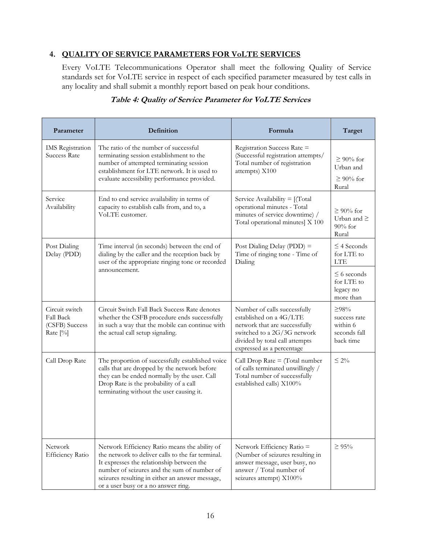# **4. QUALITY OF SERVICE PARAMETERS FOR VoLTE SERVICES**

Every VoLTE Telecommunications Operator shall meet the following Quality of Service standards set for VoLTE service in respect of each specified parameter measured by test calls in any locality and shall submit a monthly report based on peak hour conditions.

| Parameter                                                        | <b>Definition</b>                                                                                                                                                                                                                                                                        | Formula                                                                                                                                                                                | Target                                                              |
|------------------------------------------------------------------|------------------------------------------------------------------------------------------------------------------------------------------------------------------------------------------------------------------------------------------------------------------------------------------|----------------------------------------------------------------------------------------------------------------------------------------------------------------------------------------|---------------------------------------------------------------------|
| <b>IMS</b> Registration<br><b>Success Rate</b>                   | The ratio of the number of successful<br>terminating session establishment to the<br>number of attempted terminating session<br>establishment for LTE network. It is used to<br>evaluate accessibility performance provided.                                                             | Registration Success Rate =<br>(Successful registration attempts/<br>Total number of registration<br>attempts) X100                                                                    | $\geq 90\%$ for<br>Urban and<br>$\geq 90\%$ for<br>Rural            |
| Service<br>Availability                                          | End to end service availability in terms of<br>capacity to establish calls from, and to, a<br>VoLTE customer.                                                                                                                                                                            | Service Availability $=$ [(Total<br>operational minutes - Total<br>minutes of service downtime) /<br>Total operational minutes] X 100                                                  | $\geq 90\%$ for<br>Urban and $\geq$<br>$90\%$ for<br>Rural          |
| Post Dialing<br>Delay (PDD)                                      | Time interval (in seconds) between the end of<br>dialing by the caller and the reception back by<br>user of the appropriate ringing tone or recorded                                                                                                                                     | Post Dialing Delay (PDD) =<br>Time of ringing tone - Time of<br>Dialing                                                                                                                | $\leq$ 4 Seconds<br>for LTE to<br><b>LTE</b>                        |
|                                                                  | announcement.                                                                                                                                                                                                                                                                            |                                                                                                                                                                                        | $\leq$ 6 seconds<br>for LTE to<br>legacy no<br>more than            |
| Circuit switch<br><b>Fall Back</b><br>(CSFB) Success<br>Rate [%] | Circuit Switch Fall Back Success Rate denotes<br>whether the CSFB procedure ends successfully<br>in such a way that the mobile can continue with<br>the actual call setup signaling.                                                                                                     | Number of calls successfully<br>established on a 4G/LTE<br>network that are successfully<br>switched to a 2G/3G network<br>divided by total call attempts<br>expressed as a percentage | $\geq$ 98%<br>success rate<br>within 6<br>seconds fall<br>back time |
| Call Drop Rate                                                   | The proportion of successfully established voice<br>calls that are dropped by the network before<br>they can be ended normally by the user. Call<br>Drop Rate is the probability of a call<br>terminating without the user causing it.                                                   | Call Drop Rate $=$ (Total number<br>of calls terminated unwillingly /<br>Total number of successfully<br>established calls) X100%                                                      | $\leq 2\%$                                                          |
| Network<br><b>Efficiency Ratio</b>                               | Network Efficiency Ratio means the ability of<br>the network to deliver calls to the far terminal.<br>It expresses the relationship between the<br>number of seizures and the sum of number of<br>seizures resulting in either an answer message,<br>or a user busy or a no answer ring. | Network Efficiency Ratio =<br>(Number of seizures resulting in<br>answer message, user busy, no<br>answer / Total number of<br>seizures attempt) X100%                                 | $\geq 95\%$                                                         |

# **Table 4: Quality of Service Parameter for VoLTE Services**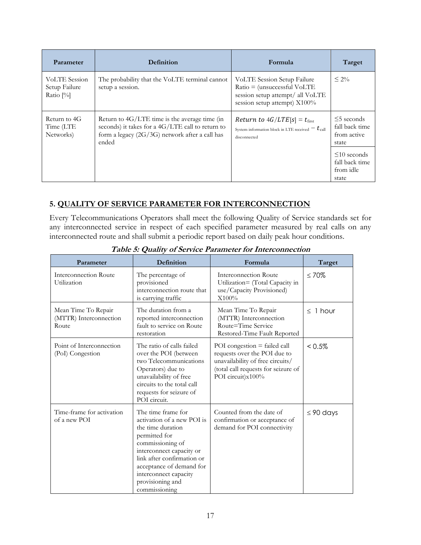| Parameter                                             | <b>Definition</b>                                                                                                                                                | Formula                                                                                                                             | Target                                                     |
|-------------------------------------------------------|------------------------------------------------------------------------------------------------------------------------------------------------------------------|-------------------------------------------------------------------------------------------------------------------------------------|------------------------------------------------------------|
| <b>VoLTE</b> Session<br>Setup Failure<br>Ratio $[\%]$ | The probability that the VoLTE terminal cannot<br>setup a session.                                                                                               | VoLTE Session Setup Failure<br>$Ratio = (unsuccessful Vol. TE)$<br>session setup attempt/ all VoLTE<br>session setup attempt) X100% | $\leq 2\%$                                                 |
| Return to 4G<br>Time (LTE<br>Networks)                | Return to $4G/LTE$ time is the average time (in<br>seconds) it takes for a 4G/LTE call to return to<br>form a legacy $(2G/3G)$ network after a call has<br>ended | <i>Return to <math>4G/LTE[s] = t_{first}</math></i><br>System information block in LTE received $- t_{\text{call}}$<br>disconnected | $\leq$ 5 seconds<br>fall back time<br>from active<br>state |
|                                                       |                                                                                                                                                                  |                                                                                                                                     | $\leq 10$ seconds<br>fall back time<br>from idle<br>state  |

# **5. QUALITY OF SERVICE PARAMETER FOR INTERCONNECTION**

Every Telecommunications Operators shall meet the following Quality of Service standards set for any interconnected service in respect of each specified parameter measured by real calls on any interconnected route and shall submit a periodic report based on daily peak hour conditions.

| Parameter                                              | Definition                                                                                                                                                                                                                                                     | Formula                                                                                                                                                        | Target         |
|--------------------------------------------------------|----------------------------------------------------------------------------------------------------------------------------------------------------------------------------------------------------------------------------------------------------------------|----------------------------------------------------------------------------------------------------------------------------------------------------------------|----------------|
| Interconnection Route<br>Utilization                   | The percentage of<br>provisioned<br>interconnection route that<br>is carrying traffic                                                                                                                                                                          | Interconnection Route<br>Utilization= (Total Capacity in<br>use/Capacity Provisioned)<br>X100%                                                                 | $\leq 70\%$    |
| Mean Time To Repair<br>(MTTR) Interconnection<br>Route | The duration from a<br>reported interconnection<br>fault to service on Route<br>restoration                                                                                                                                                                    | Mean Time To Repair<br>(MTTR) Interconnection<br>Route=Time Service<br>Restored-Time Fault Reported                                                            | $\leq$ 1 hour  |
| Point of Interconnection<br>(PoI) Congestion           | The ratio of calls failed<br>over the POI (between<br>two Telecommunications<br>Operators) due to<br>unavailability of free<br>circuits to the total call<br>requests for seizure of<br>POI circuit.                                                           | POI congestion $=$ failed call<br>requests over the POI due to<br>unavailability of free circuits/<br>(total call requests for seizure of<br>POI circuit)x100% | $< 0.5\%$      |
| Time-frame for activation<br>of a new POI              | The time frame for<br>activation of a new POI is<br>the time duration<br>permitted for<br>commissioning of<br>interconnect capacity or<br>link after confirmation or<br>acceptance of demand for<br>interconnect capacity<br>provisioning and<br>commissioning | Counted from the date of<br>confirmation or acceptance of<br>demand for POI connectivity                                                                       | $\leq$ 90 days |

**Table 5: Quality of Service Parameter for Interconnection**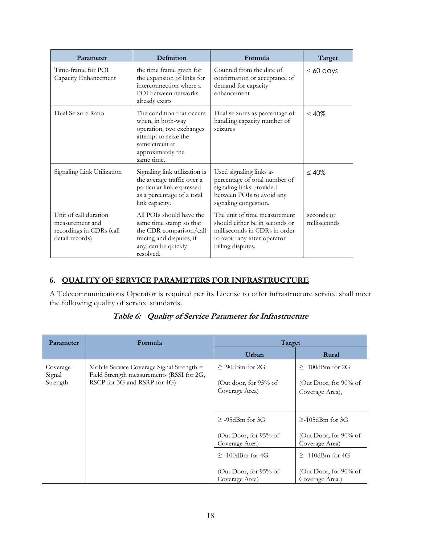| Parameter                                                                               | Definition                                                                                                                                               | Formula                                                                                                                                             | Target                     |
|-----------------------------------------------------------------------------------------|----------------------------------------------------------------------------------------------------------------------------------------------------------|-----------------------------------------------------------------------------------------------------------------------------------------------------|----------------------------|
| Time-frame for POI<br>Capacity Enhancement                                              | the time frame given for<br>the expansion of links for<br>interconnection where a<br>POI between networks<br>already exists                              | Counted from the date of<br>confirmation or acceptance of<br>demand for capacity<br>enhancement                                                     | $\leq 60$ days             |
| Dual Seizure Ratio                                                                      | The condition that occurs<br>when, in both-way<br>operation, two exchanges<br>attempt to seize the<br>same circuit at<br>approximately the<br>same time. | Dual seizures as percentage of<br>handling capacity number of<br>seizures                                                                           | $\leq 40\%$                |
| Signaling Link Utilization                                                              | Signaling link utilization is<br>the average traffic over a<br>particular link expressed<br>as a percentage of a total<br>link capacity.                 | Used signaling links as<br>percentage of total number of<br>signaling links provided<br>between POIs to avoid any<br>signaling congestion.          | $\leq 40\%$                |
| Unit of call duration<br>measurement and<br>recordings in CDRs (call<br>detail records) | All POIs should have the<br>same time stamp so that<br>the CDR comparison/call<br>tracing and disputes, if<br>any, can be quickly<br>resolved.           | The unit of time measurement<br>should either be in seconds or<br>milliseconds in CDRs in order<br>to avoid any inter-operator<br>billing disputes. | seconds or<br>milliseconds |

# **6. QUALITY OF SERVICE PARAMETERS FOR INFRASTRUCTURE**

A Telecommunications Operator is required per its License to offer infrastructure service shall meet the following quality of service standards.

| <b>Parameter</b>               | Formula                                                                                                                  | Target                                                              |                                                                     |
|--------------------------------|--------------------------------------------------------------------------------------------------------------------------|---------------------------------------------------------------------|---------------------------------------------------------------------|
|                                |                                                                                                                          | Urban                                                               | Rural                                                               |
| Coverage<br>Signal<br>Strength | Mobile Service Coverage Signal Strength $=$<br>Field Strength measurements (RSSI for 2G,<br>RSCP for 3G and RSRP for 4G) | $\geq$ -90dBm for 2G<br>(Out door, for $95\%$ of<br>Coverage Area)  | $\geq$ -100dBm for 2G<br>(Out Door, for 90% of<br>Coverage Area),   |
|                                |                                                                                                                          | $\geq$ -95dBm for 3G<br>(Out Door, for 95% of<br>Coverage Area)     | $\geq$ -105dBm for 3G<br>(Out Door, for 90% of<br>Coverage Area)    |
|                                |                                                                                                                          | $\geq$ -100dBm for 4G<br>(Out Door, for $95\%$ of<br>Coverage Area) | $\geq$ -110dBm for 4G<br>(Out Door, for $90\%$ of<br>Coverage Area) |

**Table 6: Quality of Service Parameter for Infrastructure**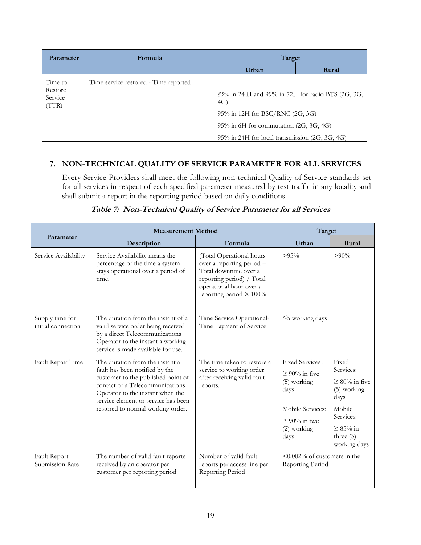| Parameter                   | Formula                               | Target                                                   |       |  |
|-----------------------------|---------------------------------------|----------------------------------------------------------|-------|--|
|                             |                                       | Urban                                                    | Rural |  |
| Time to                     | Time service restored - Time reported |                                                          |       |  |
| Restore<br>Service<br>(TTR) |                                       | 85% in 24 H and 99% in 72H for radio BTS (2G, 3G,<br>4G) |       |  |
|                             |                                       | 95% in 12H for BSC/RNC (2G, 3G)                          |       |  |
|                             |                                       | $95\%$ in 6H for commutation (2G, 3G, 4G)                |       |  |
|                             |                                       | 95% in 24H for local transmission (2G, 3G, 4G)           |       |  |

# **7. NON-TECHNICAL QUALITY OF SERVICE PARAMETER FOR ALL SERVICES**

Every Service Providers shall meet the following non-technical Quality of Service standards set for all services in respect of each specified parameter measured by test traffic in any locality and shall submit a report in the reporting period based on daily conditions.

|                                       | <b>Measurement Method</b>                                                                                                                                                                                                                                  | Target                                                                                                                                                            |                                                                                                                                           |                                                                                                                                          |
|---------------------------------------|------------------------------------------------------------------------------------------------------------------------------------------------------------------------------------------------------------------------------------------------------------|-------------------------------------------------------------------------------------------------------------------------------------------------------------------|-------------------------------------------------------------------------------------------------------------------------------------------|------------------------------------------------------------------------------------------------------------------------------------------|
| Parameter                             | Description                                                                                                                                                                                                                                                | Formula                                                                                                                                                           | Urban                                                                                                                                     | Rural                                                                                                                                    |
| Service Availability                  | Service Availability means the<br>percentage of the time a system<br>stays operational over a period of<br>time.                                                                                                                                           | (Total Operational hours<br>over a reporting period -<br>Total downtime over a<br>reporting period) / Total<br>operational hour over a<br>reporting period X 100% | $>95\%$                                                                                                                                   | $> 90\%$                                                                                                                                 |
| Supply time for<br>initial connection | The duration from the instant of a<br>valid service order being received<br>by a direct Telecommunications<br>Operator to the instant a working<br>service is made available for use.                                                                      | Time Service Operational-<br>Time Payment of Service                                                                                                              | $\leq$ 5 working days                                                                                                                     |                                                                                                                                          |
| Fault Repair Time                     | The duration from the instant a<br>fault has been notified by the<br>customer to the published point of<br>contact of a Telecommunications<br>Operator to the instant when the<br>service element or service has been<br>restored to normal working order. | The time taken to restore a<br>service to working order<br>after receiving valid fault<br>reports.                                                                | <b>Fixed Services:</b><br>$\geq 90\%$ in five<br>$(5)$ working<br>days<br>Mobile Services:<br>$\geq 90\%$ in two<br>$(2)$ working<br>days | Fixed<br>Services:<br>$\geq 80\%$ in five<br>(5) working<br>days<br>Mobile<br>Services:<br>$\geq 85\%$ in<br>three $(3)$<br>working days |
| Fault Report<br>Submission Rate       | The number of valid fault reports<br>received by an operator per<br>customer per reporting period.                                                                                                                                                         | Number of valid fault<br>reports per access line per<br>Reporting Period                                                                                          | $\leq 0.002\%$ of customers in the<br>Reporting Period                                                                                    |                                                                                                                                          |

**Table 7: Non-Technical Quality of Service Parameter for all Services**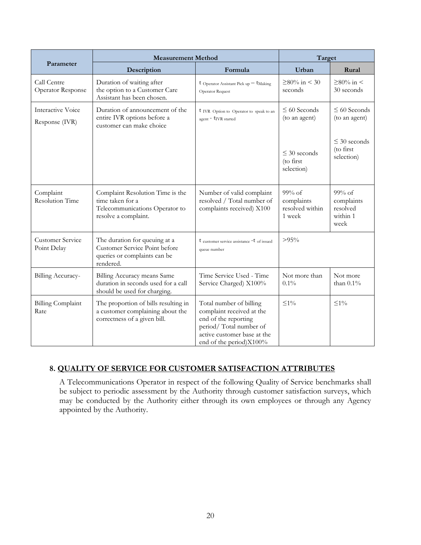|                                        | <b>Measurement Method</b>                                                                                      | Target                                                                                                                                                           |                                                              |                                                                 |
|----------------------------------------|----------------------------------------------------------------------------------------------------------------|------------------------------------------------------------------------------------------------------------------------------------------------------------------|--------------------------------------------------------------|-----------------------------------------------------------------|
| Parameter                              | Description<br>Formula                                                                                         |                                                                                                                                                                  | Urban<br>Rural                                               |                                                                 |
| Call Centre<br>Operator Response       | Duration of waiting after<br>the option to a Customer Care<br>Assistant has been chosen.                       | $t$ Operator Assistant Pick up $-t$ Making<br>Operator Request                                                                                                   | $≥80\%$ in < 30<br>seconds                                   | $≥80%$ in <<br>30 seconds                                       |
| Interactive Voice<br>Response (IVR)    | Duration of announcement of the<br>entire IVR options before a<br>customer can make choice                     | UVR Option to Operator to speak to an<br>agent - t <sub>IVR</sub> started                                                                                        | $\leq 60$ Seconds<br>(to an agent)                           | $\leq 60$ Seconds<br>(to an agent)                              |
|                                        |                                                                                                                |                                                                                                                                                                  | $\leq$ 30 seconds<br>(to first<br>selection)                 | $\leq$ 30 seconds<br>(to first)<br>selection)                   |
| Complaint<br><b>Resolution Time</b>    | Complaint Resolution Time is the<br>time taken for a<br>Telecommunications Operator to<br>resolve a complaint. | Number of valid complaint<br>resolved / Total number of<br>complaints received) X100                                                                             | $99\% \text{ of}$<br>complaints<br>resolved within<br>1 week | $99\% \text{ of}$<br>complaints<br>resolved<br>within 1<br>week |
| <b>Customer Service</b><br>Point Delay | The duration for queuing at a<br>Customer Service Point before<br>queries or complaints can be<br>rendered.    | t customer service assistance -t of issued<br>queue number                                                                                                       | $>95\%$                                                      |                                                                 |
| Billing Accuracy-                      | Billing Accuracy means Same<br>duration in seconds used for a call<br>should be used for charging.             | Time Service Used - Time<br>Service Charged) X100%                                                                                                               | Not more than<br>$0.1\%$                                     | Not more<br>than $0.1\%$                                        |
| <b>Billing Complaint</b><br>Rate       | The proportion of bills resulting in<br>a customer complaining about the<br>correctness of a given bill.       | Total number of billing<br>complaint received at the<br>end of the reporting<br>period/Total number of<br>active customer base at the<br>end of the period)X100% | ${\le}1\%$                                                   | $\leq$ 1%                                                       |

# **8. QUALITY OF SERVICE FOR CUSTOMER SATISFACTION ATTRIBUTES**

A Telecommunications Operator in respect of the following Quality of Service benchmarks shall be subject to periodic assessment by the Authority through customer satisfaction surveys, which may be conducted by the Authority either through its own employees or through any Agency appointed by the Authority.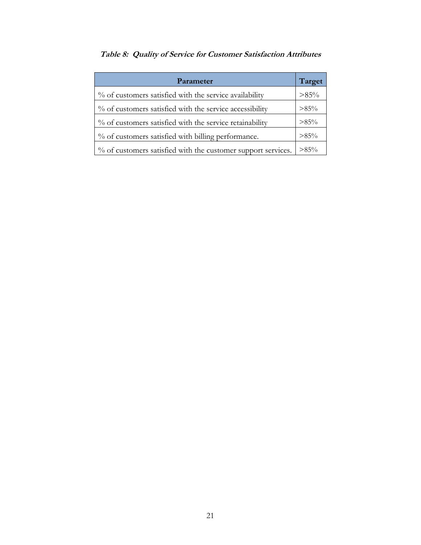| Parameter                                                    |         |  |
|--------------------------------------------------------------|---------|--|
| % of customers satisfied with the service availability       | $>85\%$ |  |
| % of customers satisfied with the service accessibility      | $>85\%$ |  |
| % of customers satisfied with the service retainability      | $>85\%$ |  |
| % of customers satisfied with billing performance.           | $>85\%$ |  |
| % of customers satisfied with the customer support services. | $>85\%$ |  |

# **Table 8: Quality of Service for Customer Satisfaction Attributes**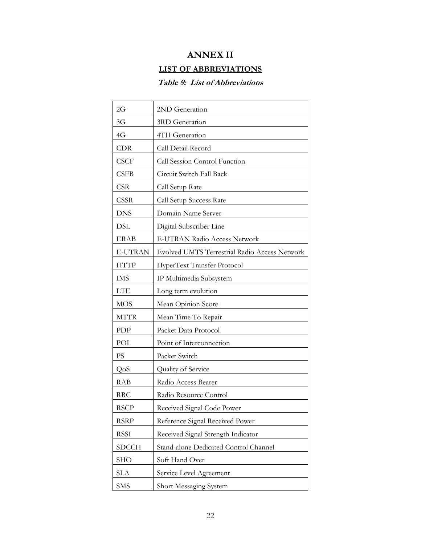# **ANNEX II**

# **LIST OF ABBREVIATIONS**

# **Table 9: List of Abbreviations**

| 2G             | 2ND Generation                                |
|----------------|-----------------------------------------------|
| 3G             | 3RD Generation                                |
| 4G             | 4TH Generation                                |
| <b>CDR</b>     | Call Detail Record                            |
| <b>CSCF</b>    | Call Session Control Function                 |
| <b>CSFB</b>    | Circuit Switch Fall Back                      |
| <b>CSR</b>     | Call Setup Rate                               |
| CSSR           | Call Setup Success Rate                       |
| <b>DNS</b>     | Domain Name Server                            |
| <b>DSL</b>     | Digital Subscriber Line                       |
| <b>ERAB</b>    | E-UTRAN Radio Access Network                  |
| <b>E-UTRAN</b> | Evolved UMTS Terrestrial Radio Access Network |
| <b>HTTP</b>    | HyperText Transfer Protocol                   |
| <b>IMS</b>     | IP Multimedia Subsystem                       |
| <b>LTE</b>     | Long term evolution                           |
| <b>MOS</b>     | Mean Opinion Score                            |
| <b>MTTR</b>    | Mean Time To Repair                           |
| PDP            | Packet Data Protocol                          |
| POI            | Point of Interconnection                      |
| <b>PS</b>      | Packet Switch                                 |
| QoS            | Quality of Service                            |
| <b>RAB</b>     | Radio Access Bearer                           |
| <b>RRC</b>     | Radio Resource Control                        |
| <b>RSCP</b>    | Received Signal Code Power                    |
| <b>RSRP</b>    | Reference Signal Received Power               |
| <b>RSSI</b>    | Received Signal Strength Indicator            |
| <b>SDCCH</b>   | Stand-alone Dedicated Control Channel         |
| <b>SHO</b>     | Soft Hand Over                                |
| <b>SLA</b>     | Service Level Agreement                       |
| <b>SMS</b>     | Short Messaging System                        |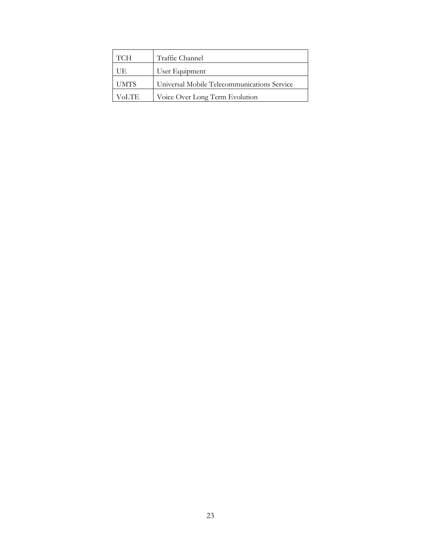| <b>TCH</b>  | Traffic Channel                             |
|-------------|---------------------------------------------|
| UE          | User Equipment                              |
| <b>UMTS</b> | Universal Mobile Telecommunications Service |
| VoLTE.      | Voice Over Long Term Evolution              |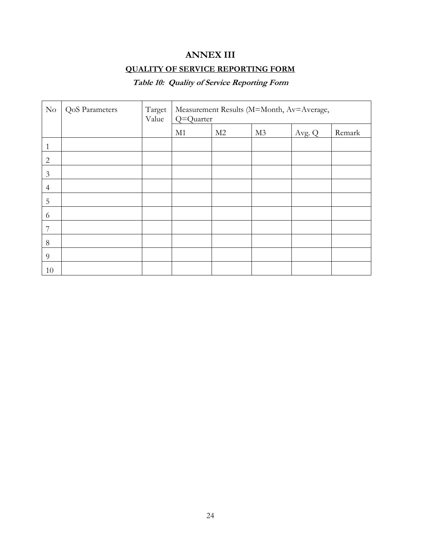# **ANNEX III**

# **QUALITY OF SERVICE REPORTING FORM**

# **Table 10: Quality of Service Reporting Form**

| $\rm No$       | QoS Parameters | Target<br>Value | Measurement Results (M=Month, Av=Average,<br>Q=Quarter |    |                |        |        |
|----------------|----------------|-----------------|--------------------------------------------------------|----|----------------|--------|--------|
|                |                |                 | M1                                                     | M2 | M <sub>3</sub> | Avg. Q | Remark |
| 1              |                |                 |                                                        |    |                |        |        |
| $\overline{2}$ |                |                 |                                                        |    |                |        |        |
| $\mathfrak{Z}$ |                |                 |                                                        |    |                |        |        |
| $\overline{4}$ |                |                 |                                                        |    |                |        |        |
| 5              |                |                 |                                                        |    |                |        |        |
| 6              |                |                 |                                                        |    |                |        |        |
| 7              |                |                 |                                                        |    |                |        |        |
| 8              |                |                 |                                                        |    |                |        |        |
| 9              |                |                 |                                                        |    |                |        |        |
| 10             |                |                 |                                                        |    |                |        |        |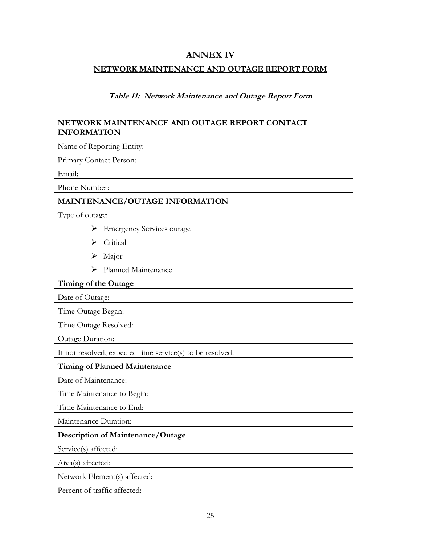# **ANNEX IV**

### **NETWORK MAINTENANCE AND OUTAGE REPORT FORM**

#### **Table 11: Network Maintenance and Outage Report Form**

### **NETWORK MAINTENANCE AND OUTAGE REPORT CONTACT INFORMATION**

Name of Reporting Entity:

Primary Contact Person:

Email:

Phone Number:

# **MAINTENANCE/OUTAGE INFORMATION**

Type of outage:

- ➢ Emergency Services outage
- ➢ Critical
- ➢ Major
- ➢ Planned Maintenance

**Timing of the Outage**

Date of Outage:

Time Outage Began:

Time Outage Resolved:

Outage Duration:

If not resolved, expected time service(s) to be resolved:

#### **Timing of Planned Maintenance**

Date of Maintenance:

Time Maintenance to Begin:

Time Maintenance to End:

Maintenance Duration:

#### **Description of Maintenance/Outage**

Service(s) affected:

Area(s) affected:

Network Element(s) affected:

Percent of traffic affected: